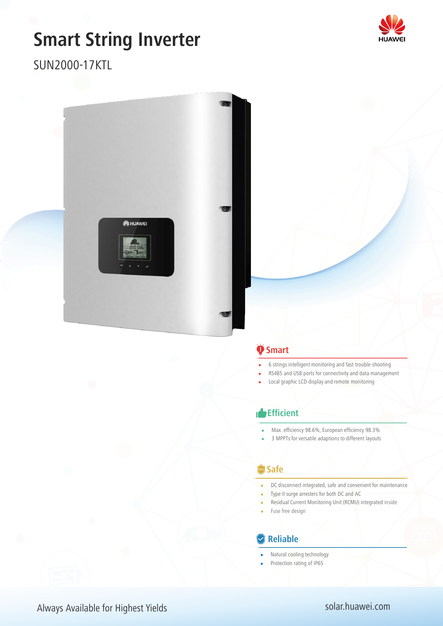# **Smart String Inverter**



## SUN2000-17KTL



### $\ddot{\bullet}$  Smart

- 6 strings intelligent monitoring and fast trouble-shooting
- RS485 and USB ports for connectivity and data management
- Local graphic LCD display and remote monitoring

#### **Efficient**

- Max. efficiency 98.6%, European efficiency 98.3%
- 3 MPPTs for versatile adaptions to different layouts

#### **Safe**

- DC disconnect integrated, safe and convenient for maintenance
- Type II surge arresters for both DC and AC
- Residual Current Monitoring Unit (RCMU) integrated inside
- Fuse free design

#### **Reliable**

- Natural cooling technology
- Protection rating of IP65

#### Always Available for Highest Yields **was always Available for Highest Yields** solar.huawei.com